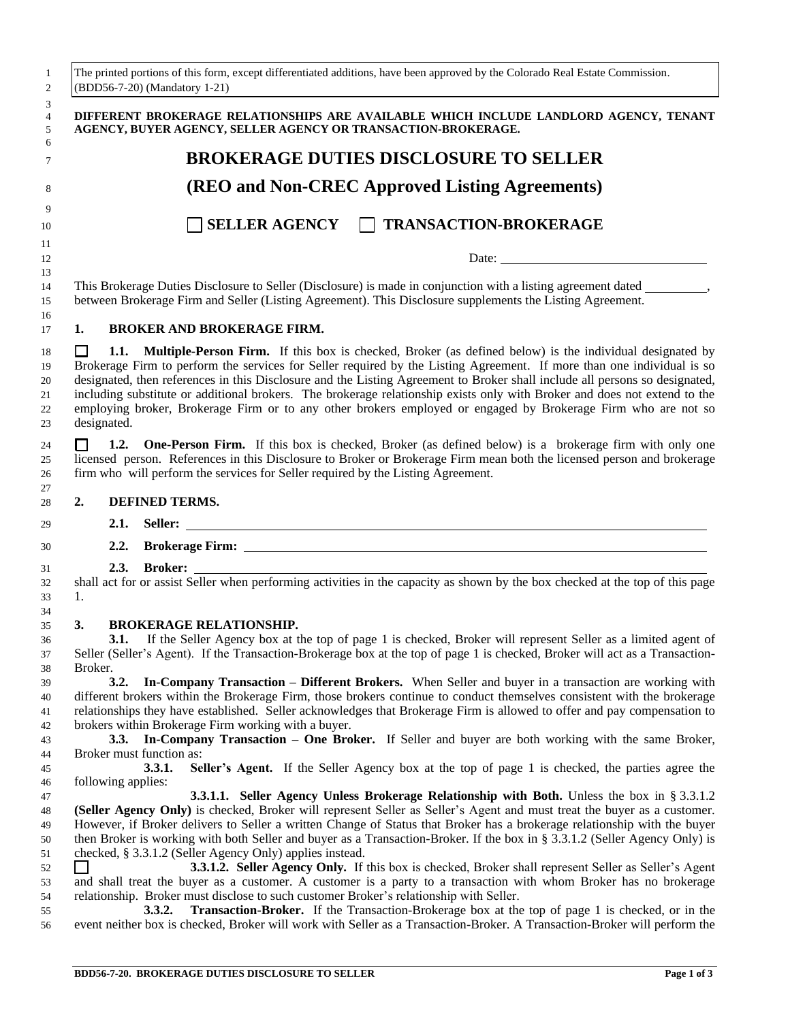| 1<br>$\boldsymbol{2}$                                    |                                                                                                                                                                                                                                                                                                                                         |                    | The printed portions of this form, except differentiated additions, have been approved by the Colorado Real Estate Commission.<br>(BDD56-7-20) (Mandatory 1-21)                                                                                                                                                                                                                                                                                                                                                                                                                                                                                                                                                                                                                                                                                                                                                                                                                                          |
|----------------------------------------------------------|-----------------------------------------------------------------------------------------------------------------------------------------------------------------------------------------------------------------------------------------------------------------------------------------------------------------------------------------|--------------------|----------------------------------------------------------------------------------------------------------------------------------------------------------------------------------------------------------------------------------------------------------------------------------------------------------------------------------------------------------------------------------------------------------------------------------------------------------------------------------------------------------------------------------------------------------------------------------------------------------------------------------------------------------------------------------------------------------------------------------------------------------------------------------------------------------------------------------------------------------------------------------------------------------------------------------------------------------------------------------------------------------|
| 3<br>4<br>5<br>6                                         |                                                                                                                                                                                                                                                                                                                                         |                    | DIFFERENT BROKERAGE RELATIONSHIPS ARE AVAILABLE WHICH INCLUDE LANDLORD AGENCY, TENANT<br>AGENCY, BUYER AGENCY, SELLER AGENCY OR TRANSACTION-BROKERAGE.                                                                                                                                                                                                                                                                                                                                                                                                                                                                                                                                                                                                                                                                                                                                                                                                                                                   |
| 7                                                        |                                                                                                                                                                                                                                                                                                                                         |                    | <b>BROKERAGE DUTIES DISCLOSURE TO SELLER</b>                                                                                                                                                                                                                                                                                                                                                                                                                                                                                                                                                                                                                                                                                                                                                                                                                                                                                                                                                             |
| 8                                                        |                                                                                                                                                                                                                                                                                                                                         |                    | <b>(REO and Non-CREC Approved Listing Agreements)</b>                                                                                                                                                                                                                                                                                                                                                                                                                                                                                                                                                                                                                                                                                                                                                                                                                                                                                                                                                    |
| 9<br>10                                                  |                                                                                                                                                                                                                                                                                                                                         |                    | SELLER AGENCY TRANSACTION-BROKERAGE                                                                                                                                                                                                                                                                                                                                                                                                                                                                                                                                                                                                                                                                                                                                                                                                                                                                                                                                                                      |
| 11<br>12                                                 |                                                                                                                                                                                                                                                                                                                                         |                    |                                                                                                                                                                                                                                                                                                                                                                                                                                                                                                                                                                                                                                                                                                                                                                                                                                                                                                                                                                                                          |
| 13<br>14<br>15                                           |                                                                                                                                                                                                                                                                                                                                         |                    | This Brokerage Duties Disclosure to Seller (Disclosure) is made in conjunction with a listing agreement dated _________,<br>between Brokerage Firm and Seller (Listing Agreement). This Disclosure supplements the Listing Agreement.                                                                                                                                                                                                                                                                                                                                                                                                                                                                                                                                                                                                                                                                                                                                                                    |
| 16<br>17                                                 | 1.                                                                                                                                                                                                                                                                                                                                      |                    | <b>BROKER AND BROKERAGE FIRM.</b>                                                                                                                                                                                                                                                                                                                                                                                                                                                                                                                                                                                                                                                                                                                                                                                                                                                                                                                                                                        |
| 18<br>19<br>20<br>21<br>22<br>23                         | $\mathsf{L}$                                                                                                                                                                                                                                                                                                                            | designated.        | <b>1.1. Multiple-Person Firm.</b> If this box is checked, Broker (as defined below) is the individual designated by<br>Brokerage Firm to perform the services for Seller required by the Listing Agreement. If more than one individual is so<br>designated, then references in this Disclosure and the Listing Agreement to Broker shall include all persons so designated,<br>including substitute or additional brokers. The brokerage relationship exists only with Broker and does not extend to the<br>employing broker, Brokerage Firm or to any other brokers employed or engaged by Brokerage Firm who are not so                                                                                                                                                                                                                                                                                                                                                                               |
| 24<br>25<br>26<br>27                                     | 1.2. One-Person Firm. If this box is checked, Broker (as defined below) is a brokerage firm with only one<br>$\mathsf{L}$<br>licensed person. References in this Disclosure to Broker or Brokerage Firm mean both the licensed person and brokerage<br>firm who will perform the services for Seller required by the Listing Agreement. |                    |                                                                                                                                                                                                                                                                                                                                                                                                                                                                                                                                                                                                                                                                                                                                                                                                                                                                                                                                                                                                          |
| 28                                                       | 2.                                                                                                                                                                                                                                                                                                                                      |                    | DEFINED TERMS.                                                                                                                                                                                                                                                                                                                                                                                                                                                                                                                                                                                                                                                                                                                                                                                                                                                                                                                                                                                           |
| 29                                                       |                                                                                                                                                                                                                                                                                                                                         | 2.1.               |                                                                                                                                                                                                                                                                                                                                                                                                                                                                                                                                                                                                                                                                                                                                                                                                                                                                                                                                                                                                          |
| 30                                                       |                                                                                                                                                                                                                                                                                                                                         |                    |                                                                                                                                                                                                                                                                                                                                                                                                                                                                                                                                                                                                                                                                                                                                                                                                                                                                                                                                                                                                          |
| 31                                                       |                                                                                                                                                                                                                                                                                                                                         |                    | 2.3. Broker: Seller when performing activities in the capacity as shown by the box checked at the top of this page                                                                                                                                                                                                                                                                                                                                                                                                                                                                                                                                                                                                                                                                                                                                                                                                                                                                                       |
| 32<br>33<br>34                                           | 1.                                                                                                                                                                                                                                                                                                                                      |                    |                                                                                                                                                                                                                                                                                                                                                                                                                                                                                                                                                                                                                                                                                                                                                                                                                                                                                                                                                                                                          |
| 35<br>36<br>37<br>38                                     | 3.<br>Broker.                                                                                                                                                                                                                                                                                                                           |                    | <b>BROKERAGE RELATIONSHIP.</b><br>3.1. If the Seller Agency box at the top of page 1 is checked, Broker will represent Seller as a limited agent of<br>Seller (Seller's Agent). If the Transaction-Brokerage box at the top of page 1 is checked, Broker will act as a Transaction-                                                                                                                                                                                                                                                                                                                                                                                                                                                                                                                                                                                                                                                                                                                      |
| 39<br>40<br>41<br>42<br>43                               |                                                                                                                                                                                                                                                                                                                                         | 3.2.               | In-Company Transaction - Different Brokers. When Seller and buyer in a transaction are working with<br>different brokers within the Brokerage Firm, those brokers continue to conduct themselves consistent with the brokerage<br>relationships they have established. Seller acknowledges that Brokerage Firm is allowed to offer and pay compensation to<br>brokers within Brokerage Firm working with a buyer.<br>3.3. In-Company Transaction – One Broker. If Seller and buyer are both working with the same Broker,                                                                                                                                                                                                                                                                                                                                                                                                                                                                                |
| 44<br>45                                                 |                                                                                                                                                                                                                                                                                                                                         |                    | Broker must function as:<br>Seller's Agent. If the Seller Agency box at the top of page 1 is checked, the parties agree the<br>3.3.1.                                                                                                                                                                                                                                                                                                                                                                                                                                                                                                                                                                                                                                                                                                                                                                                                                                                                    |
| 46<br>47<br>48<br>49<br>50<br>51<br>52<br>53<br>54<br>55 |                                                                                                                                                                                                                                                                                                                                         | following applies: | <b>3.3.1.1.</b> Seller Agency Unless Brokerage Relationship with Both. Unless the box in $\S 3.3.1.2$<br>(Seller Agency Only) is checked, Broker will represent Seller as Seller's Agent and must treat the buyer as a customer.<br>However, if Broker delivers to Seller a written Change of Status that Broker has a brokerage relationship with the buyer<br>then Broker is working with both Seller and buyer as a Transaction-Broker. If the box in § 3.3.1.2 (Seller Agency Only) is<br>checked, § 3.3.1.2 (Seller Agency Only) applies instead.<br>3.3.1.2. Seller Agency Only. If this box is checked, Broker shall represent Seller as Seller's Agent<br>and shall treat the buyer as a customer. A customer is a party to a transaction with whom Broker has no brokerage<br>relationship. Broker must disclose to such customer Broker's relationship with Seller.<br><b>Transaction-Broker.</b> If the Transaction-Brokerage box at the top of page 1 is checked, or in the<br><b>3.3.2.</b> |
| 56                                                       |                                                                                                                                                                                                                                                                                                                                         |                    | event neither box is checked, Broker will work with Seller as a Transaction-Broker. A Transaction-Broker will perform the                                                                                                                                                                                                                                                                                                                                                                                                                                                                                                                                                                                                                                                                                                                                                                                                                                                                                |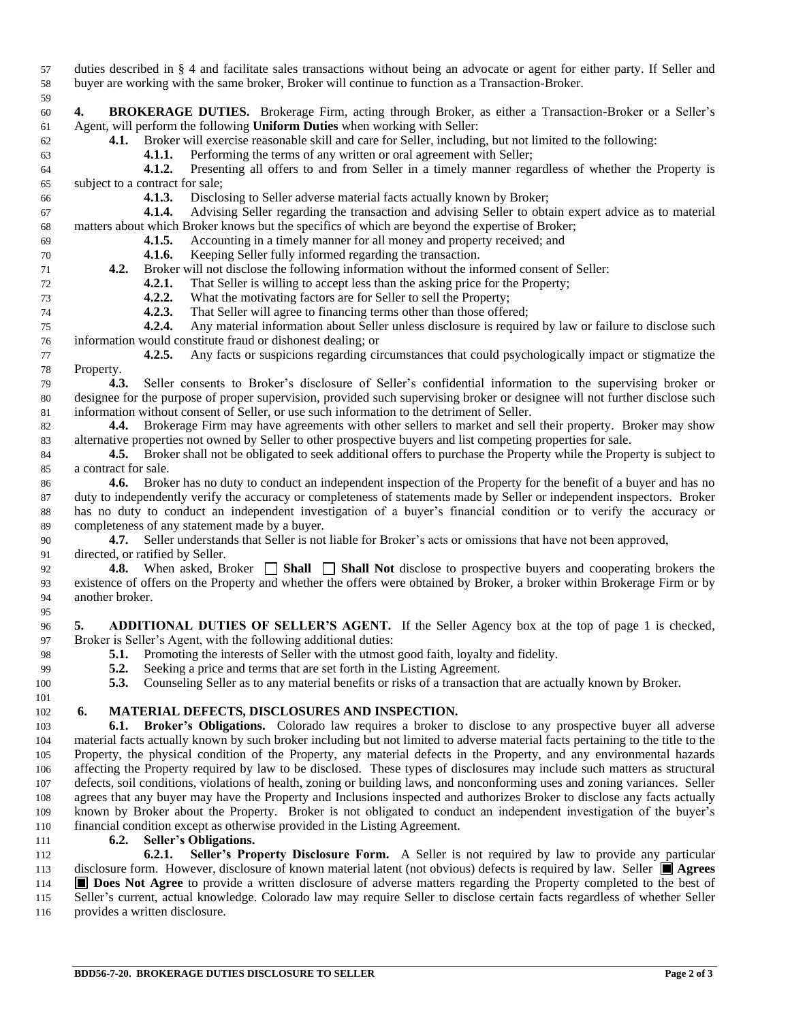duties described in § 4 and facilitate sales transactions without being an advocate or agent for either party. If Seller and buyer are working with the same broker, Broker will continue to function as a Transaction-Broker.

 **4. BROKERAGE DUTIES.** Brokerage Firm, acting through Broker, as either a Transaction-Broker or a Seller's Agent, will perform the following **Uniform Duties** when working with Seller:

**4.1.** Broker will exercise reasonable skill and care for Seller, including, but not limited to the following:

**4.1.1.** Performing the terms of any written or oral agreement with Seller;

 **4.1.2.** Presenting all offers to and from Seller in a timely manner regardless of whether the Property is subject to a contract for sale;

**4.1.3.** Disclosing to Seller adverse material facts actually known by Broker;

 **4.1.4.** Advising Seller regarding the transaction and advising Seller to obtain expert advice as to material matters about which Broker knows but the specifics of which are beyond the expertise of Broker;

- **4.1.5.** Accounting in a timely manner for all money and property received; and
- **4.1.6.** Keeping Seller fully informed regarding the transaction.
- **4.2.** Broker will not disclose the following information without the informed consent of Seller:

**4.2.1.** That Seller is willing to accept less than the asking price for the Property;

- 73 **4.2.2.** What the motivating factors are for Seller to sell the Property;<br>**4.2.3.** That Seller will agree to financing terms other than those offer
- **4.2.3.** That Seller will agree to financing terms other than those offered;

 **4.2.4.** Any material information about Seller unless disclosure is required by law or failure to disclose such information would constitute fraud or dishonest dealing; or

- **4.2.5.** Any facts or suspicions regarding circumstances that could psychologically impact or stigmatize the Property.
- **4.3.** Seller consents to Broker's disclosure of Seller's confidential information to the supervising broker or designee for the purpose of proper supervision, provided such supervising broker or designee will not further disclose such information without consent of Seller, or use such information to the detriment of Seller.

 **4.4.** Brokerage Firm may have agreements with other sellers to market and sell their property. Broker may show alternative properties not owned by Seller to other prospective buyers and list competing properties for sale.

**4.5.** Broker shall not be obligated to seek additional offers to purchase the Property while the Property is subject to a contract for sale.

 **4.6.** Broker has no duty to conduct an independent inspection of the Property for the benefit of a buyer and has no duty to independently verify the accuracy or completeness of statements made by Seller or independent inspectors. Broker has no duty to conduct an independent investigation of a buyer's financial condition or to verify the accuracy or completeness of any statement made by a buyer.

 **4.7.** Seller understands that Seller is not liable for Broker's acts or omissions that have not been approved, directed, or ratified by Seller.

 **4.8.** When asked, Broker **Shall Shall Not** disclose to prospective buyers and cooperating brokers the existence of offers on the Property and whether the offers were obtained by Broker, a broker within Brokerage Firm or by another broker.

 **5. ADDITIONAL DUTIES OF SELLER'S AGENT.** If the Seller Agency box at the top of page 1 is checked, Broker is Seller's Agent, with the following additional duties:

- **5.1.** Promoting the interests of Seller with the utmost good faith, loyalty and fidelity.
- **5.2.** Seeking a price and terms that are set forth in the Listing Agreement.

**5.3.** Counseling Seller as to any material benefits or risks of a transaction that are actually known by Broker.

## **6. MATERIAL DEFECTS, DISCLOSURES AND INSPECTION.**

 **6.1. Broker's Obligations.** Colorado law requires a broker to disclose to any prospective buyer all adverse material facts actually known by such broker including but not limited to adverse material facts pertaining to the title to the Property, the physical condition of the Property, any material defects in the Property, and any environmental hazards affecting the Property required by law to be disclosed. These types of disclosures may include such matters as structural defects, soil conditions, violations of health, zoning or building laws, and nonconforming uses and zoning variances. Seller agrees that any buyer may have the Property and Inclusions inspected and authorizes Broker to disclose any facts actually known by Broker about the Property. Broker is not obligated to conduct an independent investigation of the buyer's financial condition except as otherwise provided in the Listing Agreement.

**6.2. Seller's Obligations.**

 **6.2.1. Seller's Property Disclosure Form.** A Seller is not required by law to provide any particular 113 disclosure form. However, disclosure of known material latent (not obvious) defects is required by law. Seller **Agrees Does Not Agree** to provide a written disclosure of adverse matters regarding the Property completed to the best of Seller's current, actual knowledge. Colorado law may require Seller to disclose certain facts regardless of whether Seller provides a written disclosure.